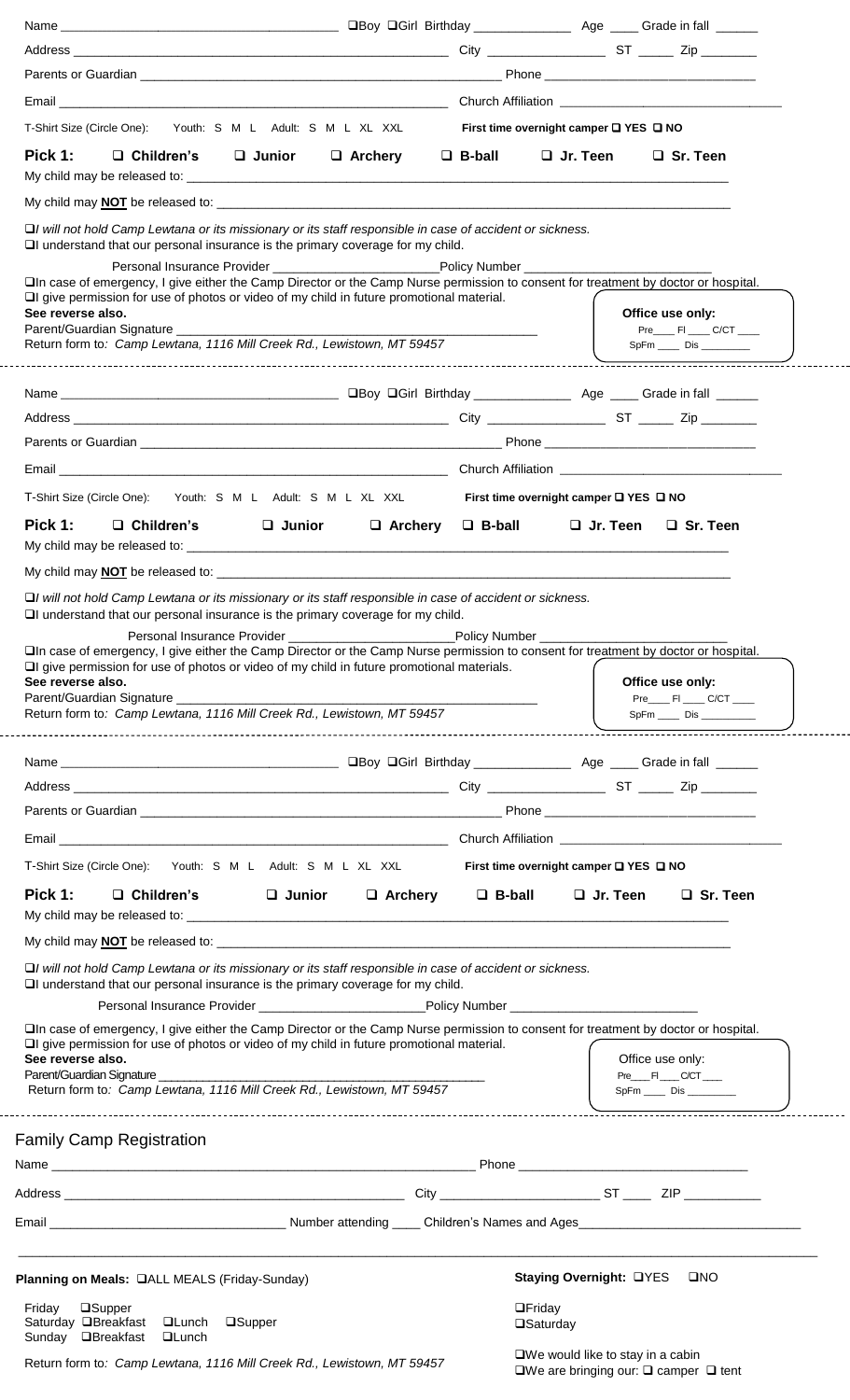| Email <b>Example 2018</b> Church Affiliation <b>Church Affiliation</b>                                                                                                                                                                                                                                                                                                                                                                                                |                                                  |                                                                                   |
|-----------------------------------------------------------------------------------------------------------------------------------------------------------------------------------------------------------------------------------------------------------------------------------------------------------------------------------------------------------------------------------------------------------------------------------------------------------------------|--------------------------------------------------|-----------------------------------------------------------------------------------|
| T-Shirt Size (Circle One): Youth: S M L Adult: S M L XL XXL                                                                                                                                                                                                                                                                                                                                                                                                           |                                                  | First time overnight camper $\square$ YES $\square$ NO                            |
| Pick 1:<br>$\Box$ Junior $\Box$ Archery $\Box$ B-ball<br>$\Box$ Children's                                                                                                                                                                                                                                                                                                                                                                                            |                                                  | $\Box$ Jr. Teen<br>$\Box$ Sr. Teen                                                |
|                                                                                                                                                                                                                                                                                                                                                                                                                                                                       |                                                  |                                                                                   |
| $\Box$ I will not hold Camp Lewtana or its missionary or its staff responsible in case of accident or sickness.<br>$\Box$ I understand that our personal insurance is the primary coverage for my child.<br>□In case of emergency, I give either the Camp Director or the Camp Nurse permission to consent for treatment by doctor or hospital.<br>$\Box$ give permission for use of photos or video of my child in future promotional material.<br>See reverse also. |                                                  | Office use only:                                                                  |
| Return form to: Camp Lewtana, 1116 Mill Creek Rd., Lewistown, MT 59457                                                                                                                                                                                                                                                                                                                                                                                                |                                                  | Pre_______ FI _____ C/CT _____<br>SpFm _____ Dis _________                        |
|                                                                                                                                                                                                                                                                                                                                                                                                                                                                       |                                                  |                                                                                   |
|                                                                                                                                                                                                                                                                                                                                                                                                                                                                       |                                                  |                                                                                   |
|                                                                                                                                                                                                                                                                                                                                                                                                                                                                       |                                                  |                                                                                   |
|                                                                                                                                                                                                                                                                                                                                                                                                                                                                       |                                                  |                                                                                   |
|                                                                                                                                                                                                                                                                                                                                                                                                                                                                       |                                                  |                                                                                   |
| T-Shirt Size (Circle One): Youth: S M L Adult: S M L XL XXL                                                                                                                                                                                                                                                                                                                                                                                                           | First time overnight camper $\Box$ YES $\Box$ NO |                                                                                   |
| Pick 1:<br>$\Box$ Children's<br>$\square$ Junior<br>$\Box$ Archery $\Box$ B-ball                                                                                                                                                                                                                                                                                                                                                                                      |                                                  | $\Box$ Jr. Teen $\Box$ Sr. Teen                                                   |
|                                                                                                                                                                                                                                                                                                                                                                                                                                                                       |                                                  |                                                                                   |
| See reverse also.<br>Return form to: Camp Lewtana, 1116 Mill Creek Rd., Lewistown, MT 59457                                                                                                                                                                                                                                                                                                                                                                           |                                                  | Office use only:<br>Pre________ FI ______ C/CT _____<br>SpFm _____ Dis __________ |
|                                                                                                                                                                                                                                                                                                                                                                                                                                                                       |                                                  |                                                                                   |
|                                                                                                                                                                                                                                                                                                                                                                                                                                                                       |                                                  |                                                                                   |
|                                                                                                                                                                                                                                                                                                                                                                                                                                                                       |                                                  |                                                                                   |
| T-Shirt Size (Circle One): Youth: S M L Adult: S M L XL XXL First time overnight camper THES THO                                                                                                                                                                                                                                                                                                                                                                      |                                                  |                                                                                   |
| Pick 1: $\square$ Children's $\square$ Junior $\square$ Archery $\square$ B-ball                                                                                                                                                                                                                                                                                                                                                                                      |                                                  | $\Box$ Jr. Teen<br>$\Box$ Sr. Teen                                                |
|                                                                                                                                                                                                                                                                                                                                                                                                                                                                       |                                                  |                                                                                   |
| □ I will not hold Camp Lewtana or its missionary or its staff responsible in case of accident or sickness.<br>I understand that our personal insurance is the primary coverage for my child.                                                                                                                                                                                                                                                                          |                                                  |                                                                                   |
| Personal Insurance Provider _____________________________Policy Number ____________________________<br>□In case of emergency, I give either the Camp Director or the Camp Nurse permission to consent for treatment by doctor or hospital.                                                                                                                                                                                                                            |                                                  |                                                                                   |
| $\Box$ give permission for use of photos or video of my child in future promotional material.                                                                                                                                                                                                                                                                                                                                                                         |                                                  |                                                                                   |
| See reverse also.<br>Parent/Guardian Signature                                                                                                                                                                                                                                                                                                                                                                                                                        |                                                  | Office use only:<br>Pre_____ FI _____ C/CT _____                                  |
| Return form to: Camp Lewtana, 1116 Mill Creek Rd., Lewistown, MT 59457                                                                                                                                                                                                                                                                                                                                                                                                |                                                  |                                                                                   |
| <b>Family Camp Registration</b>                                                                                                                                                                                                                                                                                                                                                                                                                                       |                                                  |                                                                                   |
|                                                                                                                                                                                                                                                                                                                                                                                                                                                                       |                                                  |                                                                                   |
|                                                                                                                                                                                                                                                                                                                                                                                                                                                                       |                                                  |                                                                                   |
|                                                                                                                                                                                                                                                                                                                                                                                                                                                                       |                                                  |                                                                                   |
|                                                                                                                                                                                                                                                                                                                                                                                                                                                                       |                                                  |                                                                                   |
|                                                                                                                                                                                                                                                                                                                                                                                                                                                                       |                                                  | Staying Overnight: UYES<br>$\square NO$                                           |
| Planning on Meals: <b>QALL MEALS</b> (Friday-Sunday)<br>Friday<br><b>□Supper</b><br>Saturday □Breakfast<br><b>QLunch</b><br>$\square$ Supper<br>Sunday □Breakfast<br><b>QLunch</b>                                                                                                                                                                                                                                                                                    | $\Box$ Friday<br>□Saturday                       |                                                                                   |

Return form to*: Camp Lewtana, 1116 Mill Creek Rd., Lewistown, MT 59457*

■We would like to stay in a cabin  $\square$ We are bringing our:  $\square$  camper  $\square$  tent